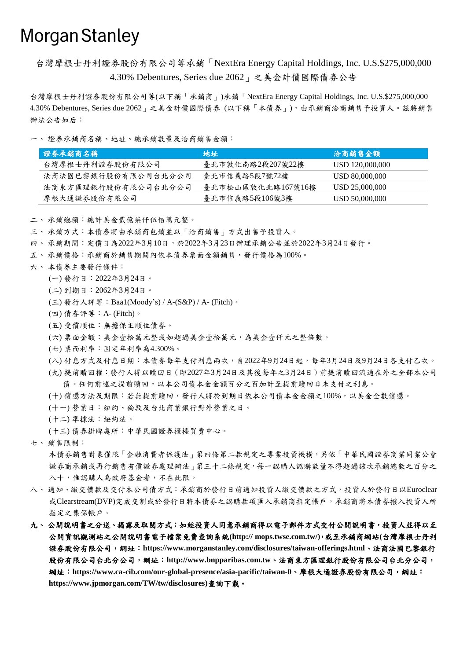## **Morgan Stanley**

台灣摩根士丹利證券股份有限公司等承銷「NextEra Energy Capital Holdings, Inc. U.S.\$275,000,000 4.30% Debentures, Series due 2062」之美金計價國際債券公告

台灣摩根士丹利證券股份有限公司等(以下稱「承銷商」)承銷「NextEra Energy Capital Holdings, Inc. U.S.\$275,000,000 4.30% Debentures, Series due 2062」之美金計價國際債券 (以下稱「本債券」),由承銷商洽商銷售予投資人。茲將銷售 辦法公告如后:

一、 證券承銷商名稱、地址、總承銷數量及洽商銷售金額:

| 證券承銷商名稱             | 地址                | 洽商銷售金額          |
|---------------------|-------------------|-----------------|
| 台灣摩根士丹利證券股份有限公司     | 臺北市敦化南路2段207號22樓  | USD 120,000,000 |
| 法商法國巴黎銀行股份有限公司台北分公司 | 臺北市信義路5段7號72樓     | USD 80,000,000  |
| 法商東方匯理銀行股份有限公司台北分公司 | 臺北市松山區敦化北路167號16樓 | USD 25,000,000  |
| 摩根大通證券股份有限公司        | 臺北市信義路5段106號3樓    | USD 50,000,000  |

二、 承銷總額:總計美金貳億柒仟伍佰萬元整。

三、承銷方式:本債券將由承銷商包銷並以「洽商銷售」方式出售予投資人。

四、 承銷期間:定價日為2022年3月10日,於2022年3月23日辦理承銷公告並於2022年3月24日發行。

- 五、 承銷價格:承銷商於銷售期間內依本債券票面金額銷售,發行價格為100%。
- 六、 本債券主要發行條件:
	- (一) 發行日:2022年3月24日。
	- (二) 到期日:2062年3月24日。
	- (三) 發行人評等:Baa1(Moody's) / A-(S&P) / A- (Fitch)。
	- (四) 債券評等:A- (Fitch)。
	- (五) 受償順位:無擔保主順位債券。
	- (六) 票面金額:美金壹拾萬元整或如超過美金壹拾萬元,為美金壹仟元之整倍數。
	- (七) 票面利率:固定年利率為4.300%。
	- (八) 付息方式及付息日期:本債券每年支付利息兩次,自2022年9月24日起,每年3月24日及9月24日各支付乙次。
	- (九) 提前贖回權:發行人得以贖回日(即2027年3月24日及其後每年之3月24日)前提前贖回流通在外之全部本公司 債。任何前述之提前贖回,以本公司債本金金額百分之百加計至提前贖回日未支付之利息。
	- (十) 償還方法及期限:若無提前贖回,發行人將於到期日依本公司債本金金額之100%,以美金全數償還。
	- (十一) 營業日:紐約、倫敦及台北商業銀行對外營業之日。
	- (十二) 準據法:紐約法。
	- (十三) 債券掛牌處所:中華民國證券櫃檯買賣中心。
- 七、 銷售限制:

本債券銷售對象僅限「金融消費者保護法」第四條第二款規定之專業投資機構,另依「中華民國證券商業同業公會 證券商承銷或再行銷售有價證券處理辦法」第三十二條規定,每一認購人認購數量不得超過該次承銷總數之百分之 八十,惟認購人為政府基金者,不在此限。

- 八、 通知、繳交價款及交付本公司債方式:承銷商於發行日前通知投資人繳交價款之方式,投資人於發行日以Euroclear 或Clearstream(DVP)完成交割或於發行日將本債券之認購款項匯入承銷商指定帳戶,承銷商將本債券撥入投資人所 指定之集保帳戶。
- 九、公開說明書之分送、揭露及取閱方式:如經投資人同意承銷商得以電子郵件方式交付公開說明書,投資人並得以至 公開資訊觀測站之公開說明書電子檔案免費查詢系統**(http:// mops.twse.com.tw/)**,或至承銷商網站**(**台灣摩根士丹利 證券股份有限公司,網址:**https://www.morganstanley.com/disclosures/taiwan-offerings.html**、法商法國巴黎銀行 股份有限公司台北分公司,網址:**http://www.bnpparibas.com.tw**、法商東方匯理銀行股份有限公司台北分公司, 網址:**https://www.ca-cib.com/our-global-presence/asia-pacific/taiwan-0**、摩根大通證券股份有限公司,網址: **https://www.jpmorgan.com/TW/tw/disclosures)**查詢下載。